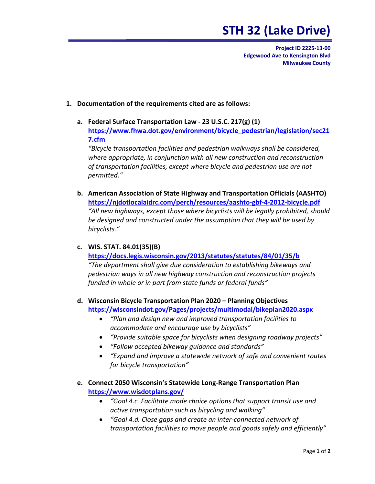## **STH 32 (Lake Drive)**

 **Project ID 2225‐13‐00 Edgewood Ave to Kensington Blvd Milwaukee County**

## **1. Documentation of the requirements cited are as follows:**

 **a. Federal Surface Transportation Law ‐ 23 U.S.C. 217(g) (1) 7.cfm [https://www.fhwa.dot.gov/environment/bicycle\\_pedestrian/legislation/sec21](https://www.fhwa.dot.gov/environment/bicycle_pedestrian/legislation/sec21)**

 *"Bicycle transportation facilities and pedestrian walkways shall be considered, where appropriate, in conjunction with all new construction and reconstruction of transportation facilities, except where bicycle and pedestrian use are not permitted."*

 **b. American Association of State Highway and Transportation Officials (AASHTO) [https://njdotlocalaidrc.com/perch/resources/aashto](https://njdotlocalaidrc.com/perch/resources/aashto-gbf-4-2012-bicycle.pdf)‐gbf‐4‐2012‐bicycle.pdf**  *"All new highways, except those where bicyclists will be legally prohibited, should be designed and constructed under the assumption that they will be used by bicyclists."*

## **c. WIS. STAT. 84.01(35)(B)**

 **<https://docs.legis.wisconsin.gov/2013/statutes/statutes/84/01/35/b>**  *"The department shall give due consideration to establishing bikeways and pedestrian ways in all new highway construction and reconstruction projects funded in whole or in part from state funds or federal funds"*

- **d. Wisconsin Bicycle Transportation Plan 2020 – Planning Objectives <https://wisconsindot.gov/Pages/projects/multimodal/bikeplan2020.aspx>**
	- *"Plan and design new and improved transportation facilities to accommodate and encourage use by bicyclists"*
	- *"Provide suitable space for bicyclists when designing roadway projects"*
	- *"Follow accepted bikeway guidance and standards"*
	- *"Expand and improve a statewide network of safe and convenient routes for bicycle transportation"*
- **e. Connect 2050 Wisconsin's Statewide Long‐Range Transportation Plan <https://www.wisdotplans.gov>/**
	- *"Goal 4.c. Facilitate mode choice options that support transit use and active transportation such as bicycling and walking"*
	- *"Goal 4.d. Close gaps and create an inter‐connected network of transportation facilities to move people and goods safely and efficiently"*